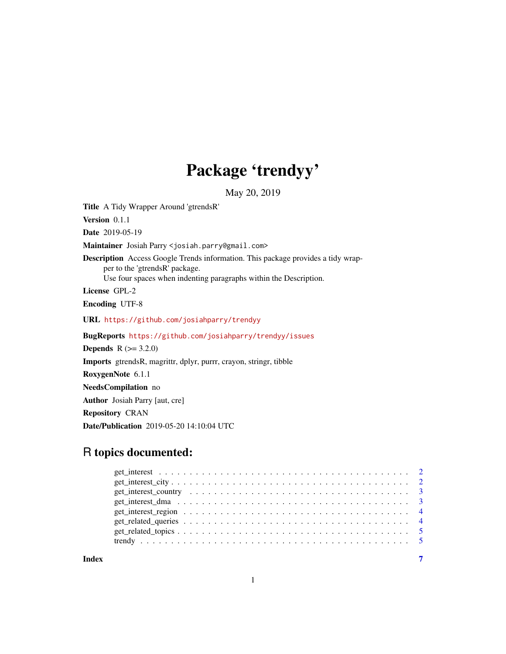# Package 'trendyy'

May 20, 2019

Title A Tidy Wrapper Around 'gtrendsR'

Version 0.1.1

Date 2019-05-19

Maintainer Josiah Parry <josiah.parry@gmail.com>

Description Access Google Trends information. This package provides a tidy wrapper to the 'gtrendsR' package.

Use four spaces when indenting paragraphs within the Description.

License GPL-2

Encoding UTF-8

URL <https://github.com/josiahparry/trendyy>

BugReports <https://github.com/josiahparry/trendyy/issues>

**Depends**  $R (= 3.2.0)$ 

Imports gtrendsR, magrittr, dplyr, purrr, crayon, stringr, tibble

RoxygenNote 6.1.1

NeedsCompilation no

Author Josiah Parry [aut, cre]

Repository CRAN

Date/Publication 2019-05-20 14:10:04 UTC

# R topics documented:

#### **Index** [7](#page-6-0) **7**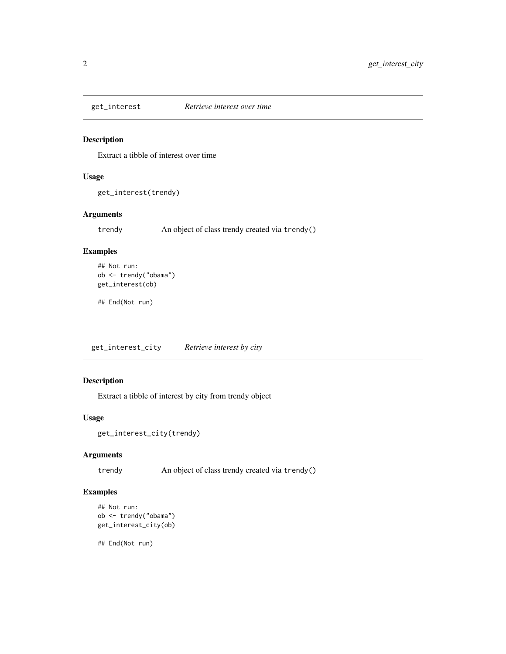<span id="page-1-0"></span>

#### Description

Extract a tibble of interest over time

#### Usage

get\_interest(trendy)

#### Arguments

trendy An object of class trendy created via trendy()

#### Examples

```
## Not run:
ob <- trendy("obama")
get_interest(ob)
```
## End(Not run)

get\_interest\_city *Retrieve interest by city*

#### Description

Extract a tibble of interest by city from trendy object

#### Usage

```
get_interest_city(trendy)
```
#### Arguments

trendy An object of class trendy created via trendy()

#### Examples

```
## Not run:
ob <- trendy("obama")
get_interest_city(ob)
```
## End(Not run)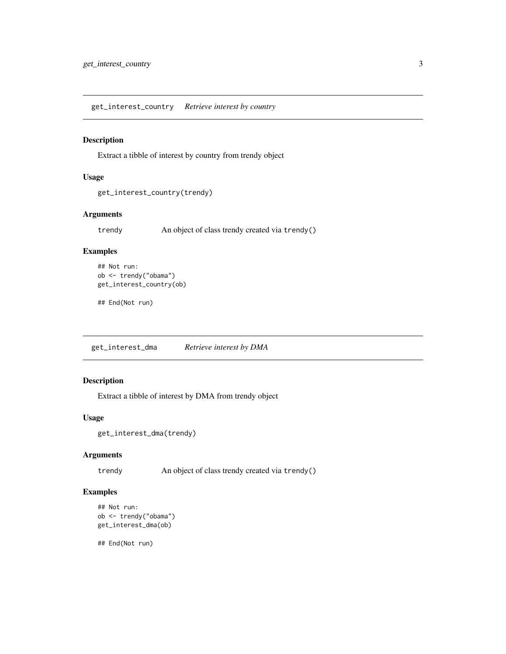<span id="page-2-0"></span>get\_interest\_country *Retrieve interest by country*

#### Description

Extract a tibble of interest by country from trendy object

#### Usage

```
get_interest_country(trendy)
```
#### Arguments

trendy An object of class trendy created via trendy()

#### Examples

```
## Not run:
ob <- trendy("obama")
get_interest_country(ob)
```
## End(Not run)

get\_interest\_dma *Retrieve interest by DMA*

#### Description

Extract a tibble of interest by DMA from trendy object

#### Usage

```
get_interest_dma(trendy)
```
#### Arguments

trendy An object of class trendy created via trendy()

#### Examples

```
## Not run:
ob <- trendy("obama")
get_interest_dma(ob)
```
## End(Not run)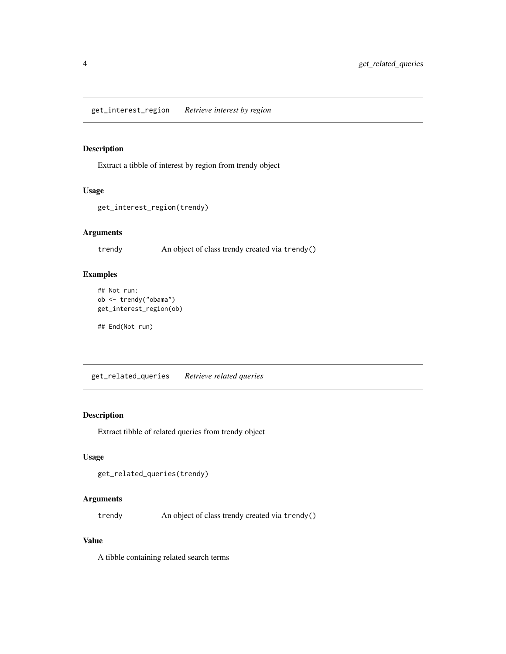#### <span id="page-3-0"></span>Description

Extract a tibble of interest by region from trendy object

#### Usage

```
get_interest_region(trendy)
```
#### Arguments

trendy An object of class trendy created via trendy()

#### Examples

```
## Not run:
ob <- trendy("obama")
get_interest_region(ob)
```
## End(Not run)

get\_related\_queries *Retrieve related queries*

#### Description

Extract tibble of related queries from trendy object

#### Usage

```
get_related_queries(trendy)
```
#### Arguments

trendy An object of class trendy created via trendy()

#### Value

A tibble containing related search terms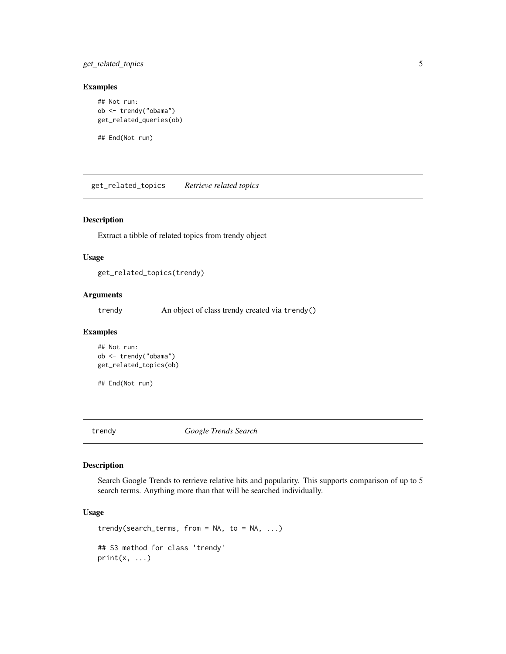<span id="page-4-0"></span>get\_related\_topics 5

#### Examples

```
## Not run:
ob <- trendy("obama")
get_related_queries(ob)
```
## End(Not run)

get\_related\_topics *Retrieve related topics*

#### Description

Extract a tibble of related topics from trendy object

#### Usage

get\_related\_topics(trendy)

#### Arguments

trendy An object of class trendy created via trendy()

#### Examples

```
## Not run:
ob <- trendy("obama")
get_related_topics(ob)
```
## End(Not run)

trendy *Google Trends Search*

#### Description

Search Google Trends to retrieve relative hits and popularity. This supports comparison of up to 5 search terms. Anything more than that will be searched individually.

#### Usage

```
trendy(search_terms, from = NA, to = NA, ...)
## S3 method for class 'trendy'
print(x, \ldots)
```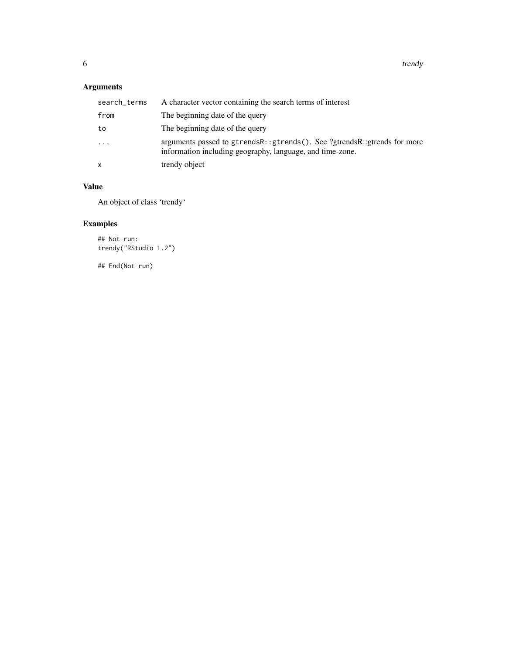### Arguments

| search_terms | A character vector containing the search terms of interest                                                                            |
|--------------|---------------------------------------------------------------------------------------------------------------------------------------|
| from         | The beginning date of the query                                                                                                       |
| to           | The beginning date of the query                                                                                                       |
| $\ddots$     | arguments passed to gtrendsR::gtrends(). See ?gtrendsR::gtrends for more<br>information including geography, language, and time-zone. |
| x            | trendy object                                                                                                                         |

#### Value

An object of class 'trendy'

## Examples

## Not run: trendy("RStudio 1.2")

## End(Not run)